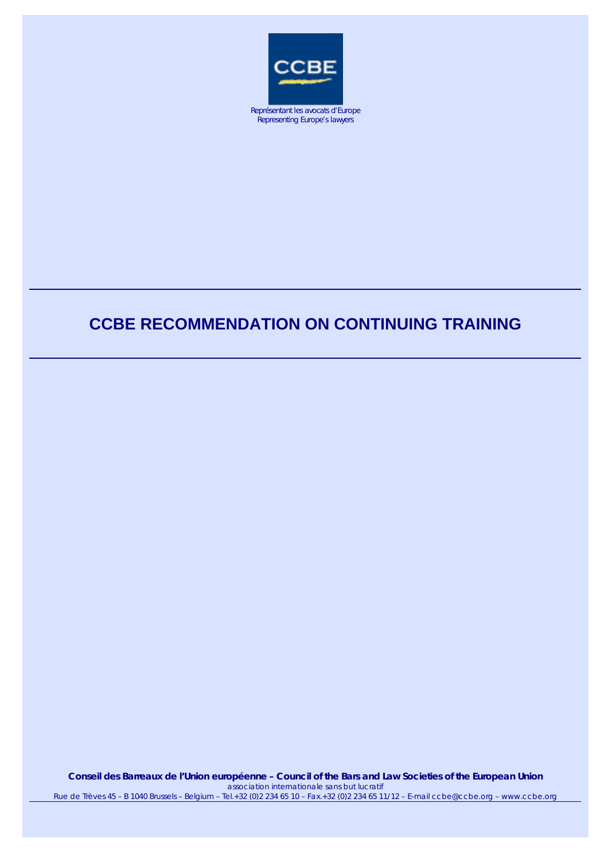

Représentant les avocats d'Europe Representing Europe's lawyers

# **CCBE RECOMMENDATION ON CONTINUING TRAINING**

**Conseil des Barreaux de l'Union européenne – Council of the Bars and Law Societies of the European Union**  *association internationale sans but lucratif* Rue de Trèves 45 – B 1040 Brussels – Belgium – Tel.+32 (0)2 234 65 10 – Fax.+32 (0)2 234 65 11/12 – E-mail ccbe@ccbe.org – www.ccbe.org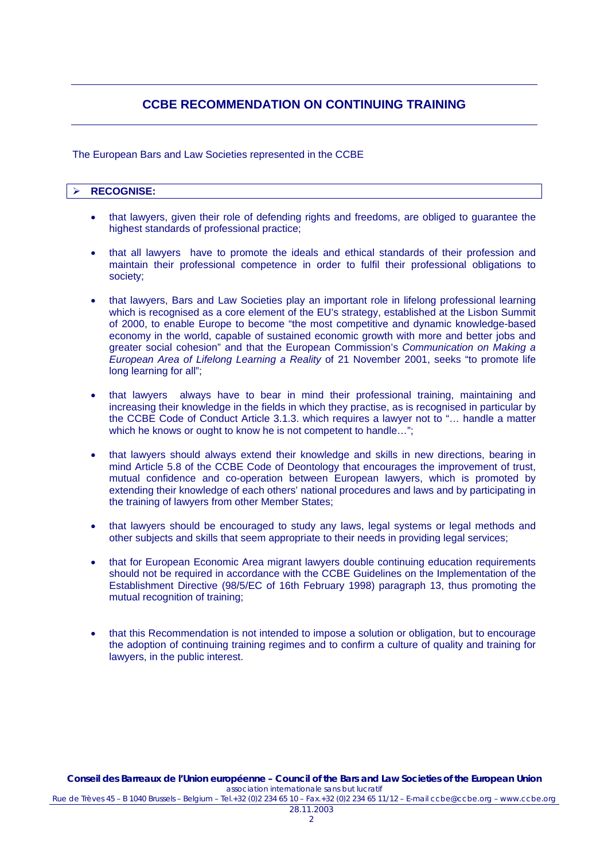# **CCBE RECOMMENDATION ON CONTINUING TRAINING**

The European Bars and Law Societies represented in the CCBE

## ! **RECOGNISE:**

- that lawyers, given their role of defending rights and freedoms, are obliged to guarantee the highest standards of professional practice;
- that all lawyers have to promote the ideals and ethical standards of their profession and maintain their professional competence in order to fulfil their professional obligations to society;
- that lawyers, Bars and Law Societies play an important role in lifelong professional learning which is recognised as a core element of the EU's strategy, established at the Lisbon Summit of 2000, to enable Europe to become "the most competitive and dynamic knowledge-based economy in the world, capable of sustained economic growth with more and better jobs and greater social cohesion" and that the European Commission's *Communication on Making a European Area of Lifelong Learning a Reality* of 21 November 2001, seeks "to promote life long learning for all";
- that lawyers always have to bear in mind their professional training, maintaining and increasing their knowledge in the fields in which they practise, as is recognised in particular by the CCBE Code of Conduct Article 3.1.3. which requires a lawyer not to "… handle a matter which he knows or ought to know he is not competent to handle...";
- that lawyers should always extend their knowledge and skills in new directions, bearing in mind Article 5.8 of the CCBE Code of Deontology that encourages the improvement of trust, mutual confidence and co-operation between European lawyers, which is promoted by extending their knowledge of each others' national procedures and laws and by participating in the training of lawyers from other Member States;
- that lawyers should be encouraged to study any laws, legal systems or legal methods and other subjects and skills that seem appropriate to their needs in providing legal services;
- that for European Economic Area migrant lawyers double continuing education requirements should not be required in accordance with the CCBE Guidelines on the Implementation of the Establishment Directive (98/5/EC of 16th February 1998) paragraph 13, thus promoting the mutual recognition of training;
- that this Recommendation is not intended to impose a solution or obligation, but to encourage the adoption of continuing training regimes and to confirm a culture of quality and training for lawyers, in the public interest.